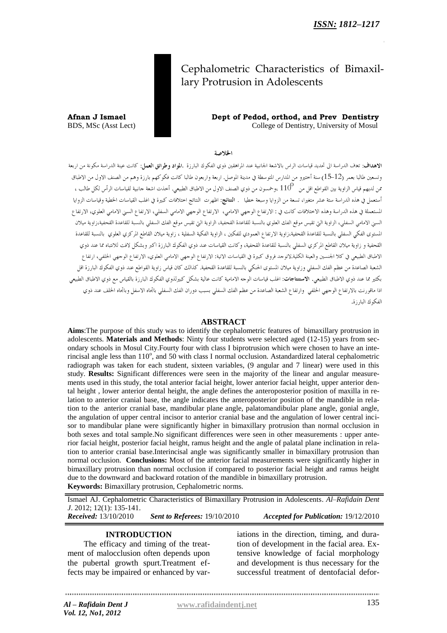# Cephalometric Characteristics of Bimaxillary Protrusion in Adolescents

**Afnan J Ismael Dept of Pedod, orthod, and Prev Dentistry** BDS, MSc (Asst Lect) College of Dentistry, University of Mosul

الخلاصة

ا**لاهداف**: تعاف الدراسة الى تحديد قياسات الراس بالاشعة الجانبية عند المراهقين ذوى الفكوك البارزة .**المواد وطرائق العمل**: كانت عينة الدراسة مكونة من اربعة وتسعين طالبا بعمر (12–15) سنة أختيرو من المدارس المتوسطة في مدينة الموصل. اربعة واربعون طالبا كانت فكوكهم بارزة وهم من الصنف الاول من الاطباق من لديهم قياس الزاوية بين القواطع اقل من  $110^{\sf o}$  ،وحمسون من ذوى الصنف الاول من الاطباق الطبيعي. أحذت اشعة جانبية لقياسات الرأس لكل طالب ، .<br>أستعمل في هذه الدراسة ستة عشر متغيرا، تسعة من الزوايا وسبعة خطيا . ا**لنتائج**: اظهرت النتائج اختلافات كبيرة في اغلب القياسات الخطية وقياسات الزوايا المستعملة في هذه الدراسة وهذه الاختلافات كانت في : الارتفاع الوجهي الامامي، الارتفاع الوجهي الامامي السفلي، الارتفاع السني الامامي العلوي، الارتفاع السبي الامامي السفلي، الزاوية التي تقيس موقع الفك العلوي بالنسبة للقاعدة القحفية، الزاوية اليّ تقيس موقع الفك السفلي بالنسبة للقاعدة القحفية،زاوية ميلان .<br>المستوى الفكي السفلي بالنسبة للقاعدة القحفية،زاوية الارتفاع العمودي للفكين ، الزاوية الفكية السفلية ، زاوية ميلان القاطع المركزي العلوي بالنسبة للقاعدة .<br>القحفية و زاوية ميلان القاطع المركزي السفلي بالنسبة للقاعدة القحفية، وكانت القياسات عند ذوي الفكوك البارزة اكبر وبشكل لافت للانتباه مما عند ذوي الاطباق الطبيعي في كلا الجنسين والعينة الكلية.لاتوحد فروق كبيرة في القياسات الاتية: الارتفاع العرمي الامامي العلوي، الارتفاع الوحهي الخلفي، ارتفاع الشعبة الصاعدة من عظم الفك السفلي وزاوية ميلان المستوى الحنكي بالنسبة للقاعدة القحفية. كذالك كان قياس زاوية القواطع عند ذوي الفكوك البارزة اقل .<br>بكثير مما عند ذوي الاطباق الطبيعي. ا**لاستنتاجات**: اغلب قياسات الوجه الامامية كانت عالية بشكل كبيرلذوي الفكوك البارزة بالقياس مع ذوي الاطباق الطبيعي اذا ماقورنت بالارتفاع الوحهي الخلفي وارتفاع الشعبة الصاعدة من عظم الفك السفلي بسبب دوران الفك السفلي باتجاه الاسفل وباتجاه الخلف عند ذوي الفكوك البارزة.

# **ABSTRACT**

**Aims**:The purpose of this study was to identify the cephalometric features of bimaxillary protrusion in adolescents. **Materials and Methods**: Ninty four students were selected aged (12-15) years from secondary schools in Mosul City.Fourty four with class I biprotrusion which were chosen to have an interincisal angle less than  $110^{\circ}$ , and 50 with class I normal occlusion. Astandardized lateral cephalometric radiograph was taken for each student, sixteen variables, (9 angular and 7 linear) were used in this study. **Results:** Significant differences were seen in the majority of the linear and angular measurements used in this study, the total anterior facial height, lower anterior facial height, upper anterior dental height , lower anterior dental height, the angle defines the anteroposterior position of maxilla in relation to anterior cranial base, the angle indicates the anteroposterior position of the mandible in relation to the anterior cranial base, mandibular plane angle, palatomandibular plane angle, gonial angle, the angulation of upper central incisor to anterior cranial base and the angulation of lower central incisor to mandibular plane were significantly higher in bimaxillary protrusion than normal occlusion in both sexes and total sample.No significant differences were seen in other measurements : upper anterior facial height, posterior facial height, ramus height and the angle of palatal plane inclination in relation to anterior cranial base.Interincisal angle was significantly smaller in bimaxillary protrusion than normal occlusion. **Conclusions:** Most of the anterior facial measurements were significantly higher in bimaxillary protrusion than normal occlusion if compared to posterior facial height and ramus height due to the downward and backward rotation of the mandible in bimaxillary protrusion. **Keywords:** Bimaxillary protrusion, Cephalometric norms.

Ismael AJ. Cephalometric Characteristics of Bimaxillary Protrusion in Adolescents. *Al–Rafidain Dent J*. 2012; 12(1): 135-141. *Received:* 13/10/2010 *Sent to Referees:* 19/10/2010 *Accepted for Publication:* 19/12/2010

# **INTRODUCTION**

The efficacy and timing of the treatment of malocclusion often depends upon the pubertal growth spurt.Treatment effects may be impaired or enhanced by variations in the direction, timing, and duration of development in the facial area. Extensive knowledge of facial morphology and development is thus necessary for the successful treatment of dentofacial defor-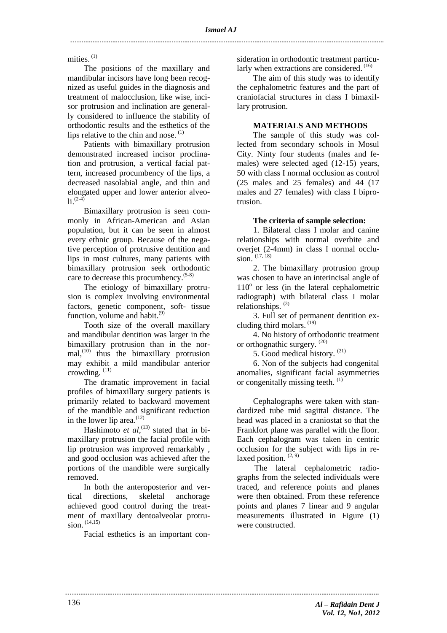mities.<sup>(1)</sup>

The positions of the maxillary and mandibular incisors have long been recognized as useful guides in the diagnosis and treatment of malocclusion, like wise, incisor protrusion and inclination are generally considered to influence the stability of orthodontic results and the esthetics of the lips relative to the chin and nose.  $(1)$ 

Patients with bimaxillary protrusion demonstrated increased incisor proclination and protrusion, a vertical facial pattern, increased procumbency of the lips, a decreased nasolabial angle, and thin and elongated upper and lower anterior alveo- $\ln (2-4)$ 

Bimaxillary protrusion is seen commonly in African-American and Asian population, but it can be seen in almost every ethnic group. Because of the negative perception of protrusive dentition and lips in most cultures, many patients with bimaxillary protrusion seek orthodontic care to decrease this procumbency.<sup>(5-8)</sup>

The etiology of bimaxillary protrusion is complex involving environmental factors, genetic component, soft- tissue function, volume and habit.<sup>(9)</sup>

Tooth size of the overall maxillary and mandibular dentition was larger in the bimaxillary protrusion than in the normal, (10) thus the bimaxillary protrusion may exhibit a mild mandibular anterior crowding.<sup>(11)</sup>

The dramatic improvement in facial profiles of bimaxillary surgery patients is primarily related to backward movement of the mandible and significant reduction in the lower lip area. $(12)$ 

Hashimoto *et al*,<sup>(13)</sup> stated that in bimaxillary protrusion the facial profile with lip protrusion was improved remarkably , and good occlusion was achieved after the portions of the mandible were surgically removed.

In both the anteroposterior and vertical directions, skeletal anchorage achieved good control during the treatment of maxillary dentoalveolar protrusion. (14,15)

Facial esthetics is an important con-

sideration in orthodontic treatment particularly when extractions are considered. (16)

The aim of this study was to identify the cephalometric features and the part of craniofacial structures in class I bimaxillary protrusion.

# **MATERIALS AND METHODS**

The sample of this study was collected from secondary schools in Mosul City. Ninty four students (males and females) were selected aged (12-15) years, 50 with class I normal occlusion as control (25 males and 25 females) and 44 (17 males and 27 females) with class I biprotrusion.

# **The criteria of sample selection:**

1. Bilateral class I molar and canine relationships with normal overbite and overjet (2-4mm) in class I normal occlusion. (17, 18)

2. The bimaxillary protrusion group was chosen to have an interincisal angle of  $110<sup>o</sup>$  or less (in the lateral cephalometric radiograph) with bilateral class I molar relationships.<sup>(3)</sup>

3. Full set of permanent dentition excluding third molars. (19)

4. No history of orthodontic treatment or orthognathic surgery.<sup>(20)</sup>

5. Good medical history. (21)

6. Non of the subjects had congenital anomalies, significant facial asymmetries or congenitally missing teeth.<sup>(1)</sup>

Cephalographs were taken with standardized tube mid sagittal distance. The head was placed in a craniostat so that the Frankfort plane was parallel with the floor. Each cephalogram was taken in centric occlusion for the subject with lips in relaxed position.  $(2, 9)$ 

The lateral cephalometric radiographs from the selected individuals were traced, and reference points and planes were then obtained. From these reference points and planes 7 linear and 9 angular measurements illustrated in Figure (1) were constructed.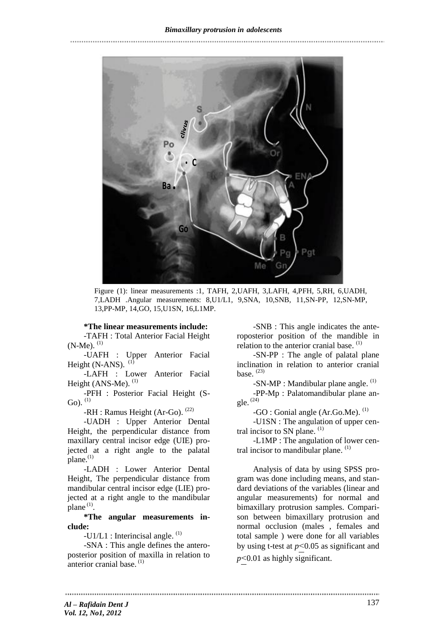

Figure (1): linear measurements :1, TAFH, 2,UAFH, 3,LAFH, 4,PFH, 5,RH, 6,UADH, 7,LADH .Angular measurements: 8,U1/L1, 9,SNA, 10,SNB, 11,SN-PP, 12,SN-MP, 13,PP-MP, 14,GO, 15,U1SN, 16,L1MP.

#### **\*The linear measurements include:**

-TAFH : Total Anterior Facial Height  $(N-Me)$ .  $(1)$ 

-UAFH : Upper Anterior Facial Height (N-ANS).  $(1)$ 

-LAFH : Lower Anterior Facial Height (ANS-Me).  $<sup>(1)</sup>$ </sup>

-PFH : Posterior Facial Height (S-Go).  $^{(1)}$ 

-RH : Ramus Height (Ar-Go). <sup>(22)</sup>

-UADH : Upper Anterior Dental Height, the perpendicular distance from maxillary central incisor edge (UIE) projected at a right angle to the palatal plane.<sup>(1)</sup>

-LADH : Lower Anterior Dental Height, The perpendicular distance from mandibular central incisor edge (LIE) projected at a right angle to the mandibular  $plane^{(1)}$ .

**\*The angular measurements include:**

 $-U1/L1$ : Interincisal angle.  $^{(1)}$ 

-SNA : This angle defines the anteroposterior position of maxilla in relation to anterior cranial base.<sup>(1)</sup>

-SNB : This angle indicates the anteroposterior position of the mandible in relation to the anterior cranial base.<sup>(1)</sup>

-SN-PP : The angle of palatal plane inclination in relation to anterior cranial base.  $(23)$ 

 $-SN-MP$ : Mandibular plane angle.  $<sup>(1)</sup>$ </sup>

-PP-Mp : Palatomandibular plane angle. (24)

 $-GO$ : Gonial angle (Ar.Go.Me).<sup>(1)</sup>

-U1SN : The angulation of upper central incisor to SN plane.  $(1)$ 

-L1MP : The angulation of lower central incisor to mandibular plane.<sup>(1)</sup>

Analysis of data by using SPSS program was done including means, and standard deviations of the variables (linear and angular measurements) for normal and bimaxillary protrusion samples. Comparison between bimaxillary protrusion and normal occlusion (males , females and total sample ) were done for all variables by using t-test at  $p$  < 0.05 as significant and  $p$  < 0.01 as highly significant.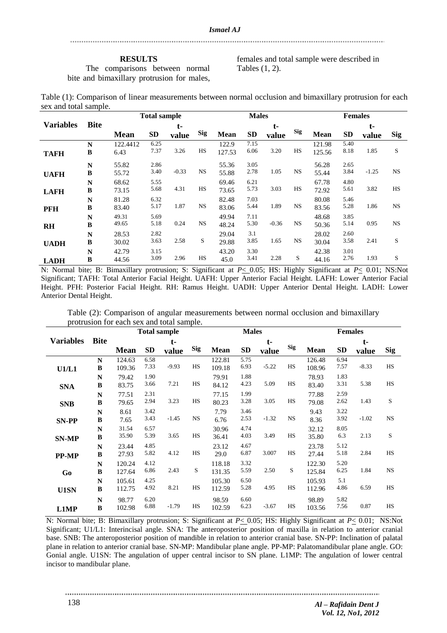#### **RESULTS**

The comparisons between normal bite and bimaxillary protrusion for males,

females and total sample were described in Tables (1, 2).

| Table (1): Comparison of linear measurements between normal occlusion and bimaxillary protrusion for each |  |  |  |
|-----------------------------------------------------------------------------------------------------------|--|--|--|
| sex and total sample.                                                                                     |  |  |  |

|                  |              | <b>Total sample</b> |           |         |            | <b>Males</b> |           |         |            | <b>Females</b> |           |         |            |
|------------------|--------------|---------------------|-----------|---------|------------|--------------|-----------|---------|------------|----------------|-----------|---------|------------|
| <b>Variables</b> | <b>Bite</b>  |                     |           | t-      |            |              |           | t-      |            |                |           | t-      |            |
|                  |              | <b>Mean</b>         | <b>SD</b> | value   | <b>Sig</b> | <b>Mean</b>  | <b>SD</b> | value   | <b>Sig</b> | Mean           | <b>SD</b> | value   | <b>Sig</b> |
|                  | N            | 122.4412            | 6.25      |         |            | 122.9        | 7.15      |         |            | 121.98         | 5.40      |         |            |
| <b>TAFH</b>      | B            | 6.43                | 7.37      | 3.26    | HS         | 127.53       | 6.06      | 3.20    | HS         | 125.56         | 8.18      | 1.85    | S          |
|                  | $\mathbb{N}$ | 55.82               | 2.86      |         |            | 55.36        | 3.05      |         |            | 56.28          | 2.65      |         |            |
| <b>UAFH</b>      | B            | 55.72               | 3.40      | $-0.33$ | <b>NS</b>  | 55.88        | 2.78      | 1.05    | <b>NS</b>  | 55.44          | 3.84      | $-1.25$ | <b>NS</b>  |
|                  | N            | 68.62               | 5.55      |         |            | 69.46        | 6.21      |         |            | 67.78          | 4.80      |         |            |
| <b>LAFH</b>      | B            | 73.15               | 5.68      | 4.31    | HS         | 73.65        | 5.73      | 3.03    | HS         | 72.92          | 5.61      | 3.82    | <b>HS</b>  |
|                  | $\mathbb{N}$ | 81.28               | 6.32      |         |            | 82.48        | 7.03      |         |            | 80.08          | 5.46      |         |            |
| <b>PFH</b>       | B            | 83.40               | 5.17      | 1.87    | <b>NS</b>  | 83.06        | 5.44      | 1.89    | <b>NS</b>  | 83.56          | 5.28      | 1.86    | <b>NS</b>  |
|                  | $\mathbb{N}$ | 49.31               | 5.69      |         |            | 49.94        | 7.11      |         |            | 48.68          | 3.85      |         |            |
| <b>RH</b>        | $\, {\bf B}$ | 49.65               | 5.18      | 0.24    | <b>NS</b>  | 48.24        | 5.30      | $-0.36$ | NS         | 50.36          | 5.14      | 0.95    | <b>NS</b>  |
|                  | $\mathbb{N}$ | 28.53               | 2.82      |         |            | 29.04        | 3.1       |         |            | 28.02          | 2.60      |         |            |
| <b>UADH</b>      | B            | 30.02               | 3.63      | 2.58    | S          | 29.88        | 3.85      | 1.65    | <b>NS</b>  | 30.04          | 3.58      | 2.41    | S          |
|                  | N            | 42.79               | 3.15      |         |            | 43.20        | 3.30      |         |            | 42.38          | 3.01      |         |            |
| <b>LADH</b>      | B            | 44.56               | 3.09      | 2.96    | HS         | 45.0         | 3.41      | 2.28    | S          | 44.16          | 2.76      | 1.93    | S          |

N: Normal bite; B: Bimaxillary protrusion; S: Significant at *P*< 0.05; HS: Highly Significant at *P*< 0.01; NS:Not Significant; TAFH: Total Anterior Facial Height. UAFH: Upper Anterior Facial Height. LAFH: Lower Anterior Facial Height. PFH: Posterior Facial Height. RH: Ramus Height. UADH: Upper Anterior Dental Height. LADH: Lower Anterior Dental Height.

| Table (2): Comparison of angular measurements between normal occlusion and bimaxillary |  |  |
|----------------------------------------------------------------------------------------|--|--|
| protrusion for each sex and total sample.                                              |  |  |

|                  |                  | <b>Total sample</b> |              |         |            |                  | <b>Males</b> |         | <b>Females</b> |                  |              |         |            |
|------------------|------------------|---------------------|--------------|---------|------------|------------------|--------------|---------|----------------|------------------|--------------|---------|------------|
| <b>Variables</b> | <b>Bite</b>      |                     |              | $t-$    |            |                  |              | $t-$    |                |                  |              | t-      |            |
|                  |                  | <b>Mean</b>         | <b>SD</b>    | value   | <b>Sig</b> | Mean             | <b>SD</b>    | value   | <b>Sig</b>     | <b>Mean</b>      | <b>SD</b>    | value   | <b>Sig</b> |
| U1/L1            | $\mathbf N$<br>B | 124.63<br>109.36    | 6.58<br>7.33 | $-9.93$ | HS         | 122.81<br>109.18 | 5.75<br>6.93 | $-5.22$ | <b>HS</b>      | 126.48<br>108.96 | 6.94<br>7.57 | $-8.33$ | HS         |
| <b>SNA</b>       | N<br>B           | 79.42<br>83.75      | 1.90<br>3.66 | 7.21    | HS         | 79.91<br>84.12   | 1.88<br>4.23 | 5.09    | HS             | 78.93<br>83.40   | 1.83<br>3.31 | 5.38    | HS         |
| <b>SNB</b>       | N<br>B           | 77.51<br>79.65      | 2.31<br>2.94 | 3.23    | HS         | 77.15<br>80.23   | 1.99<br>3.28 | 3.05    | HS             | 77.88<br>79.08   | 2.59<br>2.62 | 1.43    | S          |
| <b>SN-PP</b>     | N<br>B           | 8.61<br>7.65        | 3.42<br>3.43 | $-1.45$ | <b>NS</b>  | 7.79<br>6.76     | 3.46<br>2.53 | $-1.32$ | $_{\rm NS}$    | 9.43<br>8.36     | 3.22<br>3.92 | $-1.02$ | <b>NS</b>  |
| <b>SN-MP</b>     | N<br>$\bf{B}$    | 31.54<br>35.90      | 6.57<br>5.39 | 3.65    | HS         | 30.96<br>36.41   | 4.74<br>4.03 | 3.49    | <b>HS</b>      | 32.12<br>35.80   | 8.05<br>6.3  | 2.13    | S          |
| <b>PP-MP</b>     | N<br>B           | 23.44<br>27.93      | 4.85<br>5.82 | 4.12    | HS         | 23.12<br>29.0    | 4.67<br>6.87 | 3.007   | <b>HS</b>      | 23.78<br>27.44   | 5.12<br>5.18 | 2.84    | HS         |
| G <sub>0</sub>   | N<br>B           | 120.24<br>127.64    | 4.12<br>6.86 | 2.43    | S          | 118.18<br>131.35 | 3.32<br>5.59 | 2.50    | S              | 122.30<br>125.84 | 5.20<br>6.25 | 1.84    | <b>NS</b>  |
| U1SN             | N<br>B           | 105.61<br>112.75    | 4.25<br>4.92 | 8.21    | HS         | 105.30<br>112.59 | 6.50<br>5.28 | 4.95    | HS             | 105.93<br>112.96 | 5.1<br>4.86  | 6.59    | HS         |
| L1MP             | N<br>$\bf{B}$    | 98.77<br>102.98     | 6.20<br>6.88 | $-1.79$ | HS         | 98.59<br>102.59  | 6.60<br>6.23 | $-3.67$ | HS             | 98.89<br>103.56  | 5.82<br>7.56 | 0.87    | HS         |

N: Normal bite; B: Bimaxillary protrusion; S: Significant at *P*< 0.05; HS: Highly Significant at *P*< 0.01; NS:Not Significant; U1/L1: Interincisal angle. SNA: The anteroposterior position of maxilla in relation to anterior cranial base. SNB: The anteroposterior position of mandible in relation to anterior cranial base. SN-PP: Inclination of palatal plane in relation to anterior cranial base. SN-MP: Mandibular plane angle. PP-MP: Palatomandibular plane angle. GO: Gonial angle. U1SN: The angulation of upper central incisor to SN plane. L1MP: The angulation of lower central incisor to mandibular plane.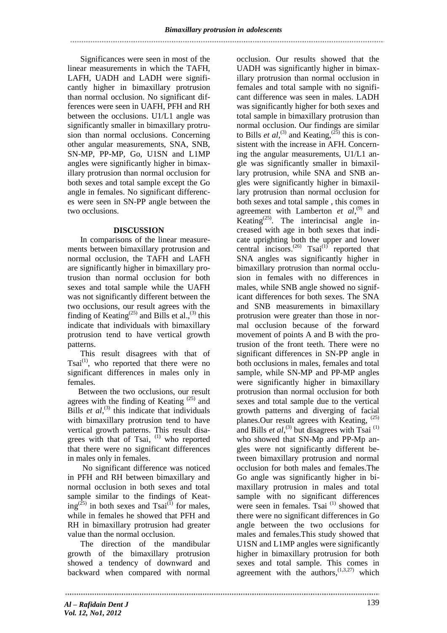Significances were seen in most of the linear measurements in which the TAFH, LAFH, UADH and LADH were significantly higher in bimaxillary protrusion than normal occlusion. No significant differences were seen in UAFH, PFH and RH between the occlusions. U1/L1 angle was significantly smaller in bimaxillary protrusion than normal occlusions. Concerning other angular measurements, SNA, SNB, SN-MP, PP-MP, Go, U1SN and L1MP angles were significantly higher in bimaxillary protrusion than normal occlusion for both sexes and total sample except the Go angle in females. No significant differences were seen in SN-PP angle between the two occlusions.

# **DISCUSSION**

In comparisons of the linear measurements between bimaxillary protrusion and normal occlusion, the TAFH and LAFH are significantly higher in bimaxillary protrusion than normal occlusion for both sexes and total sample while the UAFH was not significantly different between the two occlusions, our result agrees with the finding of Keating<sup> $(25)$ </sup> and Bills et al.,<sup>(3)</sup> this indicate that individuals with bimaxillary protrusion tend to have vertical growth patterns.

This result disagrees with that of  $Tsai<sup>(1)</sup>$ , who reported that there were no significant differences in males only in females.

Between the two occlusions, our result agrees with the finding of Keating  $(25)$  and Bills *et al*,<sup>(3)</sup> this indicate that individuals with bimaxillary protrusion tend to have vertical growth patterns. This result disagrees with that of Tsai, <sup>(1)</sup> who reported that there were no significant differences in males only in females.

No significant difference was noticed in PFH and RH between bimaxillary and normal occlusion in both sexes and total sample similar to the findings of Keating<sup>(25)</sup> in both sexes and Tsai<sup>(1)</sup> for males, while in females he showed that PFH and RH in bimaxillary protrusion had greater value than the normal occlusion.

The direction of the mandibular growth of the bimaxillary protrusion showed a tendency of downward and backward when compared with normal

occlusion. Our results showed that the UADH was significantly higher in bimaxillary protrusion than normal occlusion in females and total sample with no significant difference was seen in males. LADH was significantly higher for both sexes and total sample in bimaxillary protrusion than normal occlusion. Our findings are similar to Bills *et al*,<sup>(3)</sup> and Keating,<sup>(25)</sup> this is consistent with the increase in AFH. Concerning the angular measurements, U1/L1 angle was significantly smaller in bimaxillary protrusion, while SNA and SNB angles were significantly higher in bimaxillary protrusion than normal occlusion for both sexes and total sample , this comes in agreement with Lamberton et al,<sup>(9)</sup> and Keating<sup> $(25)$ </sup>. The interincisal angle increased with age in both sexes that indicate uprighting both the upper and lower central incisors.<sup>(26)</sup> Tsai<sup>(1)</sup> reported that SNA angles was significantly higher in bimaxillary protrusion than normal occlusion in females with no differences in males, while SNB angle showed no significant differences for both sexes. The SNA and SNB measurements in bimaxillary protrusion were greater than those in normal occlusion because of the forward movement of points A and B with the protrusion of the front teeth. There were no significant differences in SN-PP angle in both occlusions in males, females and total sample, while SN-MP and PP-MP angles were significantly higher in bimaxillary protrusion than normal occlusion for both sexes and total sample due to the vertical growth patterns and diverging of facial planes. Our result agrees with Keating, <sup>(25)</sup> and Bills  $et$   $al$ ,<sup>(3)</sup> but disagrees with Tsai<sup>(1)</sup> who showed that SN-Mp and PP-Mp angles were not significantly different between bimaxillary protrusion and normal occlusion for both males and females.The Go angle was significantly higher in bimaxillary protrusion in males and total sample with no significant differences were seen in females. Tsai  $(1)$  showed that there were no significant differences in Go angle between the two occlusions for males and females.This study showed that U1SN and L1MP angles were significantly higher in bimaxillary protrusion for both sexes and total sample. This comes in agreement with the  $authors$ ,  $(1,3,27)$  which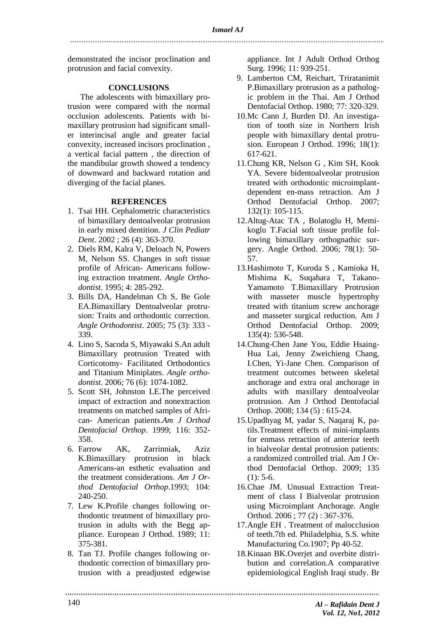demonstrated the incisor proclination and protrusion and facial convexity.

# **CONCLUSIONS**

The adolescents with bimaxillary protrusion were compared with the normal occlusion adolescents. Patients with bimaxillary protrusion had significant smaller interincisal angle and greater facial convexity, increased incisors proclination , a vertical facial pattern , the direction of the mandibular growth showed a tendency of downward and backward rotation and diverging of the facial planes.

# **REFERENCES**

- 1. Tsai HH. Cephalometric characteristics of bimaxillary dentoalveolar protrusion in early mixed dentition. *J Clin Pediatr Dent*. 2002 ; 26 (4): 363-370.
- 2. Diels RM, Kalra V, Deloach N, Powers M, Nelson SS. Changes in soft tissue profile of African- Americans following extraction treatment. *Angle Orthodontist*. 1995; 4: 285-292.
- 3. Bills DA, Handelman Ch S, Be Gole EA.Bimaxillary Dentoalveolar protrusion: Traits and orthodontic correction. *Angle Orthodontist*. 2005; 75 (3): 333 - 339.
- 4. Lino S, Sacoda S, Miyawaki S.An adult Bimaxillary protrusion Treated with Corticotomy- Facilitated Orthodontics and Titanium Miniplates. *Angle orthodontist*. 2006; 76 (6): 1074-1082.
- 5. Scott SH, Johnston LE.The perceived impact of extraction and nonextraction treatments on matched samples of African- American patients.*Am J Orthod Dentofacial Orthop*. 1999; 116: 352- 358.
- 6. Farrow AK, Zarrinniak, Aziz K.Bimaxillary protrusion in black Americans-an esthetic evaluation and the treatment considerations. *Am J Orthod Dentofacial Orthop*.1993; 104: 240-250.
- 7. Lew K.Profile changes following orthodontic treatment of bimaxillary protrusion in adults with the Begg appliance. European J Orthod. 1989; 11: 375-381.
- 8. Tan TJ. Profile changes following orthodontic correction of bimaxillary protrusion with a preadjusted edgewise

appliance. Int J Adult Orthod Orthog Surg. 1996; 11: 939-251.

- 9. Lamberton CM, Reichart, Triratanimit P.Bimaxillary protrusion as a pathologic problem in the Thai. Am J Orthod Dentofacial Orthop. 1980; 77: 320-329.
- 10.Mc Cann J, Burden DJ. An investigation of tooth size in Northern Irish people with bimaxillary dental protrusion. European J Orthod. 1996; 18(1): 617-621.
- 11.Chung KR, Nelson G , Kim SH, Kook YA. Severe bidentoalveolar protrusion treated with orthodontic microimplantdependent en-mass retraction. Am J Orthod Dentofacial Orthop. 2007; 132(1): 105-115.
- 12.Altug-Atac TA , Bolatoglu H, Memikoglu T.Facial soft tissue profile following bimaxillary orthognathic surgery. Angle Orthod. 2006; 78(1): 50- 57.
- 13.Hashimoto T, Kuroda S , Kamioka H, Mishima K, Suqahara T, Takano-Yamamoto T.Bimaxillary Protrusion with masseter muscle hypertrophy treated with titanium screw anchorage and masseter surgical reduction. Am J Orthod Dentofacial Orthop. 2009; 135(4): 536-548.
- 14.Chung-Chen Jane You, Eddie Hsaing-Hua Lai, Jenny Zweichieng Chang, I.Chen, Yi-Jane Chen. Comparison of treatment outcomes between skeletal anchorage and extra oral anchorage in adults with maxillary dentoalveolar protrusion. Am J Orthod Dentofacial Orthop. 2008; 134 (5) : 615-24.
- 15.Upadhyag M, yadar S, Naqaraj K, patils.Treatment effects of mini-implants for enmass retraction of anterior teeth in bialveolar dental protrusion patients: a randomized controlled trial. Am J Orthod Dentofacial Orthop. 2009; 135  $(1): 5-6.$
- 16.Chae JM. Unusual Extraction Treatment of class I Bialveolar protrusion using Microimplant Anchorage. Angle Orthod. 2006 ; 77 (2) : 367-376.
- 17.Angle EH . Treatment of malocclusion of teeth.7th ed. Philadelphia, S.S. white Manufacturing Co.1907; Pp 40-52.
- 18.Kinaan BK.Overjet and overbite distribution and correlation.A comparative epidemiological English Iraqi study. Br